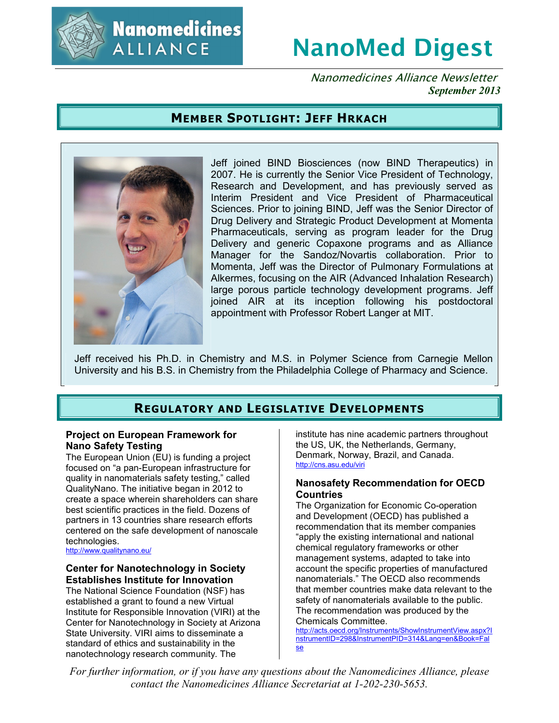

**Nanomedicines ALLIANCE** 

# **NanoMed Digest**

Nanomedicines Alliance Newsletter *September 2013*

## **MEMBER SPOTLIGHT: JEFF HRKACH**



Jeff joined BIND Biosciences (now BIND Therapeutics) in 2007. He is currently the Senior Vice President of Technology, Research and Development, and has previously served as Interim President and Vice President of Pharmaceutical Sciences. Prior to joining BIND, Jeff was the Senior Director of Drug Delivery and Strategic Product Development at Momenta Pharmaceuticals, serving as program leader for the Drug Delivery and generic Copaxone programs and as Alliance Manager for the Sandoz/Novartis collaboration. Prior to Momenta, Jeff was the Director of Pulmonary Formulations at Alkermes, focusing on the AIR (Advanced Inhalation Research) large porous particle technology development programs. Jeff joined AIR at its inception following his postdoctoral appointment with Professor Robert Langer at MIT.

Jeff received his Ph.D. in Chemistry and M.S. in Polymer Science from Carnegie Mellon University and his B.S. in Chemistry from the Philadelphia College of Pharmacy and Science.

# **REGULATORY AND LEGISLATIVE DEVELOPMENTS**

#### **Project on European Framework for Nano Safety Testing**

The European Union (EU) is funding a project focused on "a pan-European infrastructure for quality in nanomaterials safety testing," called QualityNano. The initiative began in 2012 to create a space wherein shareholders can share best scientific practices in the field. Dozens of partners in 13 countries share research efforts centered on the safe development of nanoscale technologies.

http://www.qualitynano.eu/

#### **Center for Nanotechnology in Society Establishes Institute for Innovation**

The National Science Foundation (NSF) has established a grant to found a new Virtual Institute for Responsible Innovation (VIRI) at the Center for Nanotechnology in Society at Arizona State University. VIRI aims to disseminate a standard of ethics and sustainability in the nanotechnology research community. The

institute has nine academic partners throughout the US, UK, the Netherlands, Germany, Denmark, Norway, Brazil, and Canada. http://cns.asu.edu/viri

#### **Nanosafety Recommendation for OECD Countries**

The Organization for Economic Co-operation and Development (OECD) has published a recommendation that its member companies "apply the existing international and national chemical regulatory frameworks or other management systems, adapted to take into account the specific properties of manufactured nanomaterials." The OECD also recommends that member countries make data relevant to the safety of nanomaterials available to the public. The recommendation was produced by the Chemicals Committee.

http://acts.oecd.org/Instruments/ShowInstrumentView.aspx?I nstrumentID=298&InstrumentPID=314&Lang=en&Book=Fal se

*For further information, or if you have any questions about the Nanomedicines Alliance, please contact the Nanomedicines Alliance Secretariat at 1-202-230-5653.*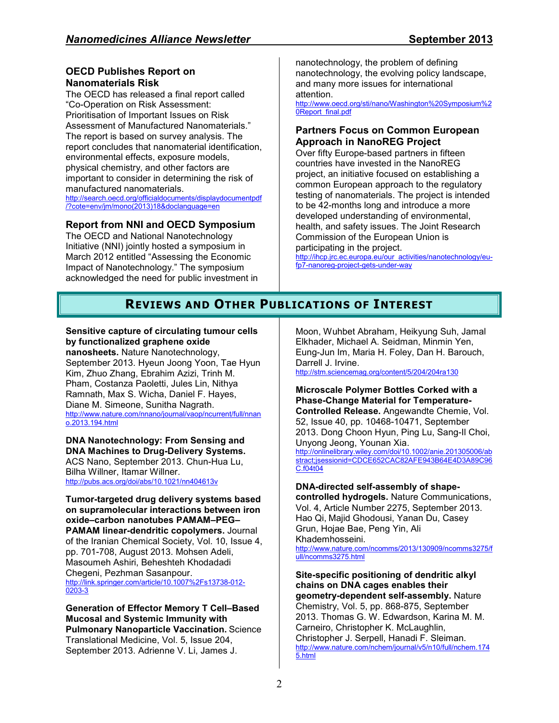## **OECD Publishes Report on Nanomaterials Risk**

The OECD has released a final report called "Co-Operation on Risk Assessment: Prioritisation of Important Issues on Risk Assessment of Manufactured Nanomaterials." The report is based on survey analysis. The report concludes that nanomaterial identification, environmental effects, exposure models, physical chemistry, and other factors are important to consider in determining the risk of manufactured nanomaterials. http://search.oecd.org/officialdocuments/displaydocumentpdf /?cote=env/jm/mono(2013)18&doclanguage=en

## **Report from NNI and OECD Symposium**

The OECD and National Nanotechnology Initiative (NNI) jointly hosted a symposium in March 2012 entitled "Assessing the Economic Impact of Nanotechnology." The symposium acknowledged the need for public investment in nanotechnology, the problem of defining nanotechnology, the evolving policy landscape, and many more issues for international attention.

http://www.oecd.org/sti/nano/Washington%20Symposium%2 0Report\_final.pdf

#### **Partners Focus on Common European Approach in NanoREG Project**

Over fifty Europe-based partners in fifteen countries have invested in the NanoREG project, an initiative focused on establishing a common European approach to the regulatory testing of nanomaterials. The project is intended to be 42-months long and introduce a more developed understanding of environmental, health, and safety issues. The Joint Research Commission of the European Union is participating in the project.

http://ihcp.jrc.ec.europa.eu/our\_activities/nanotechnology/eufp7-nanoreg-project-gets-under-way

# **REVIEWS AND OTHER PUBLICATIONS OF INTEREST**

**Sensitive capture of circulating tumour cells by functionalized graphene oxide nanosheets.** Nature Nanotechnology,

September 2013. Hyeun Joong Yoon, Tae Hyun Kim, Zhuo Zhang, Ebrahim Azizi, Trinh M. Pham, Costanza Paoletti, Jules Lin, Nithya Ramnath, Max S. Wicha, Daniel F. Hayes, Diane M. Simeone, Sunitha Nagrath. http://www.nature.com/nnano/journal/vaop/ncurrent/full/nnan o.2013.194.html

**DNA Nanotechnology: From Sensing and DNA Machines to Drug-Delivery Systems.**  ACS Nano, September 2013. Chun-Hua Lu,

Bilha Willner, Itamar Willner. http://pubs.acs.org/doi/abs/10.1021/nn404613v

#### **Tumor-targeted drug delivery systems based on supramolecular interactions between iron oxide–carbon nanotubes PAMAM–PEG–**

**PAMAM linear-dendritic copolymers.** Journal of the Iranian Chemical Society, Vol. 10, Issue 4, pp. 701-708, August 2013. Mohsen Adeli, Masoumeh Ashiri, Beheshteh Khodadadi Chegeni, Pezhman Sasanpour. http://link.springer.com/article/10.1007%2Fs13738-012- 0203-3

**Generation of Effector Memory T Cell–Based Mucosal and Systemic Immunity with Pulmonary Nanoparticle Vaccination.** Science Translational Medicine, Vol. 5, Issue 204, September 2013. Adrienne V. Li, James J.

Moon, Wuhbet Abraham, Heikyung Suh, Jamal Elkhader, Michael A. Seidman, Minmin Yen, Eung-Jun Im, Maria H. Foley, Dan H. Barouch, Darrell J. Irvine.

http://stm.sciencemag.org/content/5/204/204ra130

**Microscale Polymer Bottles Corked with a Phase-Change Material for Temperature-Controlled Release.** Angewandte Chemie, Vol. 52, Issue 40, pp. 10468-10471, September 2013. Dong Choon Hyun, Ping Lu, Sang-Il Choi, Unyong Jeong, Younan Xia. http://onlinelibrary.wiley.com/doi/10.1002/anie.201305006/ab stract;jsessionid=CDCE652CAC82AFE943B64E4D3A89C96 C.f04t04

#### **DNA-directed self-assembly of shape-**

**controlled hydrogels.** Nature Communications, Vol. 4, Article Number 2275, September 2013. Hao Qi, Majid Ghodousi, Yanan Du, Casey Grun, Hojae Bae, Peng Yin, Ali Khademhosseini. http://www.nature.com/ncomms/2013/130909/ncomms3275/f

ull/ncomms3275.html

**Site-specific positioning of dendritic alkyl chains on DNA cages enables their geometry-dependent self-assembly.** Nature Chemistry, Vol. 5, pp. 868-875, September 2013. Thomas G. W. Edwardson, Karina M. M. Carneiro, Christopher K. McLaughlin, Christopher J. Serpell, Hanadi F. Sleiman. http://www.nature.com/nchem/journal/v5/n10/full/nchem.174  $5.html$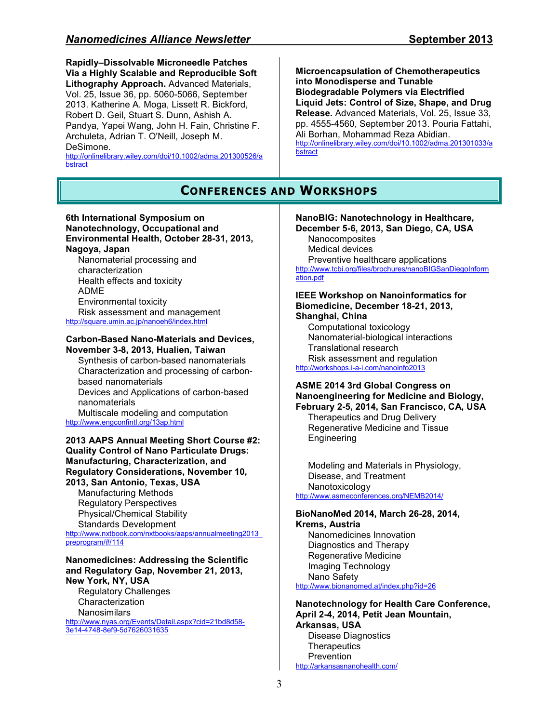**Rapidly–Dissolvable Microneedle Patches Via a Highly Scalable and Reproducible Soft Lithography Approach.** Advanced Materials, Vol. 25, Issue 36, pp. 5060-5066, September 2013. Katherine A. Moga, Lissett R. Bickford, Robert D. Geil, Stuart S. Dunn, Ashish A. Pandya, Yapei Wang, John H. Fain, Christine F. Archuleta, Adrian T. O'Neill, Joseph M. DeSimone.

http://onlinelibrary.wiley.com/doi/10.1002/adma.201300526/a bstract

**Microencapsulation of Chemotherapeutics into Monodisperse and Tunable Biodegradable Polymers via Electrified Liquid Jets: Control of Size, Shape, and Drug Release.** Advanced Materials, Vol. 25, Issue 33, pp. 4555-4560, September 2013. Pouria Fattahi, Ali Borhan, Mohammad Reza Abidian. http://onlinelibrary.wiley.com/doi/10.1002/adma.201301033/a bstract

## **CONFERENCES AND WORKSHOPS**

#### **6th International Symposium on Nanotechnology, Occupational and Environmental Health, October 28-31, 2013, Nagoya, Japan** Nanomaterial processing and

characterization Health effects and toxicity ADME Environmental toxicity Risk assessment and management http://square.umin.ac.jp/nanoeh6/index.html

#### **Carbon-Based Nano-Materials and Devices, November 3-8, 2013, Hualien, Taiwan**

Synthesis of carbon-based nanomaterials Characterization and processing of carbonbased nanomaterials Devices and Applications of carbon-based nanomaterials Multiscale modeling and computation

http://www.engconfintl.org/13ap.html

#### **2013 AAPS Annual Meeting Short Course #2: Quality Control of Nano Particulate Drugs: Manufacturing, Characterization, and Regulatory Considerations, November 10,**

**2013, San Antonio, Texas, USA**  Manufacturing Methods Regulatory Perspectives Physical/Chemical Stability Standards Development

http://www.nxtbook.com/nxtbooks/aaps/annualmeeting2013\_ preprogram/#/114

#### **Nanomedicines: Addressing the Scientific and Regulatory Gap, November 21, 2013, New York, NY, USA**

Regulatory Challenges Characterization Nanosimilars

http://www.nyas.org/Events/Detail.aspx?cid=21bd8d58- 3e14-4748-8ef9-5d7626031635

#### **NanoBIG: Nanotechnology in Healthcare, December 5-6, 2013, San Diego, CA, USA**

Nanocomposites Medical devices Preventive healthcare applications http://www.tcbi.org/files/brochures/nanoBIGSanDiegoInform ation.pdf

**IEEE Workshop on Nanoinformatics for Biomedicine, December 18-21, 2013, Shanghai, China** 

Computational toxicology Nanomaterial-biological interactions Translational research Risk assessment and regulation http://workshops.i-a-i.com/nanoinfo2013

#### **ASME 2014 3rd Global Congress on Nanoengineering for Medicine and Biology, February 2-5, 2014, San Francisco, CA, USA**

Therapeutics and Drug Delivery Regenerative Medicine and Tissue **Engineering** 

Modeling and Materials in Physiology, Disease, and Treatment Nanotoxicology http://www.asmeconferences.org/NEMB2014/

#### **BioNanoMed 2014, March 26-28, 2014, Krems, Austria**

Nanomedicines Innovation Diagnostics and Therapy Regenerative Medicine Imaging Technology Nano Safety http://www.bionanomed.at/index.php?id=26

#### **Nanotechnology for Health Care Conference, April 2-4, 2014, Petit Jean Mountain, Arkansas, USA**  Disease Diagnostics **Therapeutics Prevention**

http://arkansasnanohealth.com/